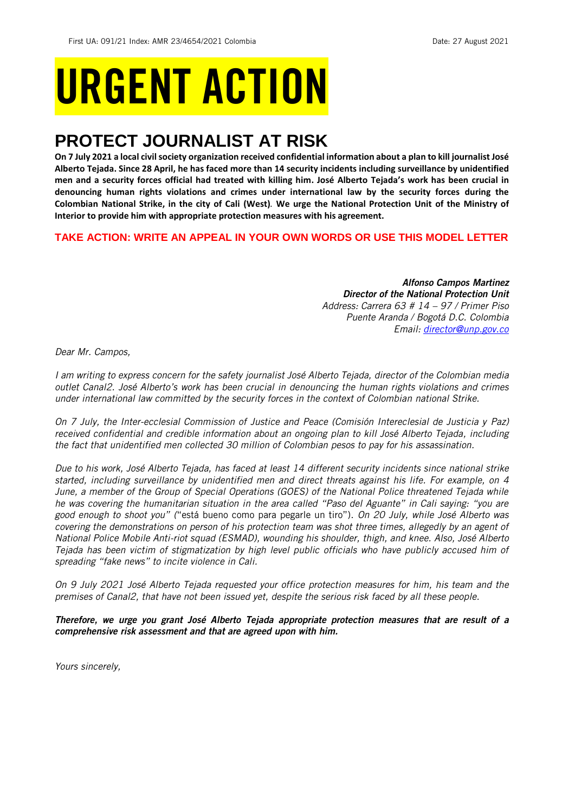# URGENT ACTION

## **PROTECT JOURNALIST AT RISK**

**On 7 July 2021 a local civil society organization received confidential information about a plan to kill journalist José Alberto Tejada. Since 28 April, he has faced more than 14 security incidents including surveillance by unidentified men and a security forces official had treated with killing him. José Alberto Tejada's work has been crucial in denouncing human rights violations and crimes under international law by the security forces during the Colombian National Strike, in the city of Cali (West)***.* **We urge the National Protection Unit of the Ministry of Interior to provide him with appropriate protection measures with his agreement.**

## **TAKE ACTION: WRITE AN APPEAL IN YOUR OWN WORDS OR USE THIS MODEL LETTER**

*Alfonso Campos Martinez Director of the National Protection Unit Address: Carrera 63 # 14 – 97 / Primer Piso Puente Aranda / Bogotá D.C. Colombia Email: [director@unp.gov.co](mailto:director@unp.gov.co)*

*Dear Mr. Campos,*

*I am writing to express concern for the safety journalist José Alberto Tejada, director of the Colombian media outlet Canal2. José Alberto's work has been crucial in denouncing the human rights violations and crimes under international law committed by the security forces in the context of Colombian national Strike.* 

*On 7 July, the Inter-ecclesial Commission of Justice and Peace (Comisión Intereclesial de Justicia y Paz) received confidential and credible information about an ongoing plan to kill José Alberto Tejada, including the fact that unidentified men collected 30 million of Colombian pesos to pay for his assassination.*

*Due to his work, José Alberto Tejada, has faced at least 14 different security incidents since national strike started, including surveillance by unidentified men and direct threats against his life. For example, on 4 June, a member of the Group of Special Operations (GOES) of the National Police threatened Tejada while he was covering the humanitarian situation in the area called "Paso del Aguante" in Cali saying: "you are good enough to shoot you" (*"está bueno como para pegarle un tiro"). *On 20 July, while José Alberto was covering the demonstrations on person of his protection team was shot three times, allegedly by an agent of National Police Mobile Anti-riot squad (ESMAD), wounding his shoulder, thigh, and knee. Also, José Alberto Tejada has been victim of stigmatization by high level public officials who have publicly accused him of spreading "fake news" to incite violence in Cali.*

*On 9 July 2021 José Alberto Tejada requested your office protection measures for him, his team and the premises of Canal2, that have not been issued yet, despite the serious risk faced by all these people.*

*Therefore, we urge you grant José Alberto Tejada appropriate protection measures that are result of a comprehensive risk assessment and that are agreed upon with him.*

*Yours sincerely,*